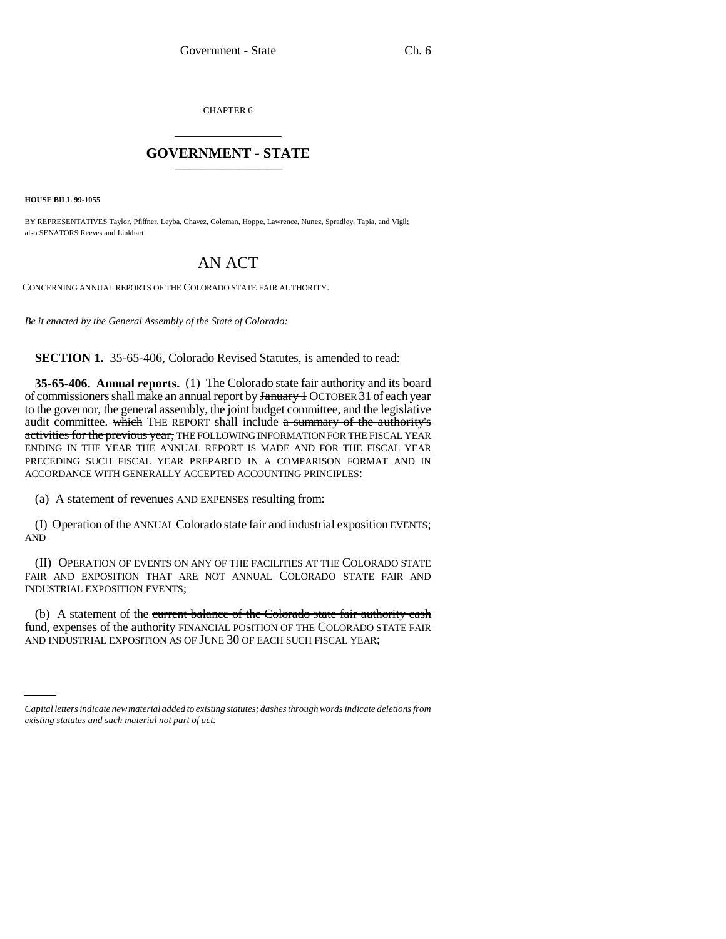CHAPTER 6 \_\_\_\_\_\_\_\_\_\_\_\_\_\_\_

## **GOVERNMENT - STATE** \_\_\_\_\_\_\_\_\_\_\_\_\_\_\_

**HOUSE BILL 99-1055**

BY REPRESENTATIVES Taylor, Pfiffner, Leyba, Chavez, Coleman, Hoppe, Lawrence, Nunez, Spradley, Tapia, and Vigil; also SENATORS Reeves and Linkhart.

## AN ACT

CONCERNING ANNUAL REPORTS OF THE COLORADO STATE FAIR AUTHORITY.

*Be it enacted by the General Assembly of the State of Colorado:*

**SECTION 1.** 35-65-406, Colorado Revised Statutes, is amended to read:

**35-65-406. Annual reports.** (1) The Colorado state fair authority and its board of commissioners shall make an annual report by January + OCTOBER 31 of each year to the governor, the general assembly, the joint budget committee, and the legislative audit committee. which THE REPORT shall include a summary of the authority's activities for the previous year, THE FOLLOWING INFORMATION FOR THE FISCAL YEAR ENDING IN THE YEAR THE ANNUAL REPORT IS MADE AND FOR THE FISCAL YEAR PRECEDING SUCH FISCAL YEAR PREPARED IN A COMPARISON FORMAT AND IN ACCORDANCE WITH GENERALLY ACCEPTED ACCOUNTING PRINCIPLES:

(a) A statement of revenues AND EXPENSES resulting from:

(I) Operation of the ANNUAL Colorado state fair and industrial exposition EVENTS; AND

(II) OPERATION OF EVENTS ON ANY OF THE FACILITIES AT THE COLORADO STATE FAIR AND EXPOSITION THAT ARE NOT ANNUAL COLORADO STATE FAIR AND INDUSTRIAL EXPOSITION EVENTS;

AND INDUSTRIAL EXPOSITION AS OF JUNE 30 OF EACH SUCH FISCAL YEAR;(b) A statement of the current balance of the Colorado state fair authority cash fund, expenses of the authority FINANCIAL POSITION OF THE COLORADO STATE FAIR

*Capital letters indicate new material added to existing statutes; dashes through words indicate deletions from existing statutes and such material not part of act.*